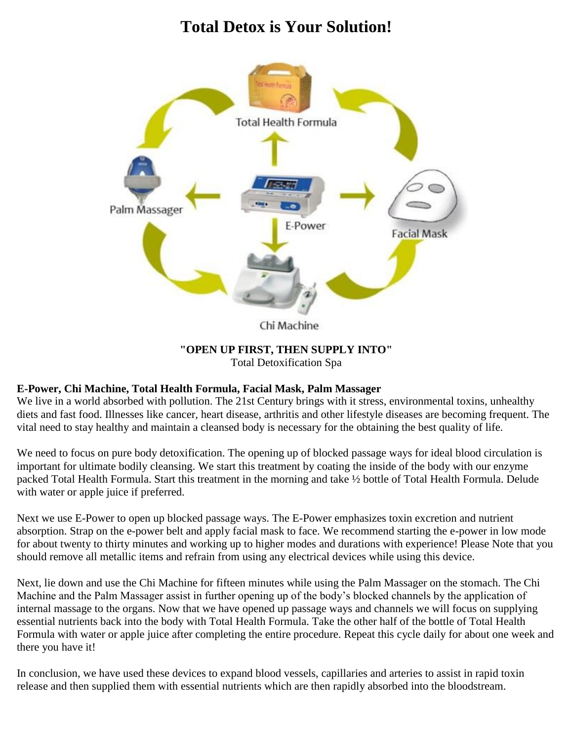# **Total Detox is Your Solution!**



Chi Machine

#### **"OPEN UP FIRST, THEN SUPPLY INTO"**

Total Detoxification Spa

#### **E-Power, Chi Machine, Total Health Formula, Facial Mask, Palm Massager**

We live in a world absorbed with pollution. The 21st Century brings with it stress, environmental toxins, unhealthy diets and fast food. Illnesses like cancer, heart disease, arthritis and other lifestyle diseases are becoming frequent. The vital need to stay healthy and maintain a cleansed body is necessary for the obtaining the best quality of life.

We need to focus on pure body detoxification. The opening up of blocked passage ways for ideal blood circulation is important for ultimate bodily cleansing. We start this treatment by coating the inside of the body with our enzyme packed Total Health Formula. Start this treatment in the morning and take ½ bottle of Total Health Formula. Delude with water or apple juice if preferred.

Next we use E-Power to open up blocked passage ways. The E-Power emphasizes toxin excretion and nutrient absorption. Strap on the e-power belt and apply facial mask to face. We recommend starting the e-power in low mode for about twenty to thirty minutes and working up to higher modes and durations with experience! Please Note that you should remove all metallic items and refrain from using any electrical devices while using this device.

Next, lie down and use the Chi Machine for fifteen minutes while using the Palm Massager on the stomach. The Chi Machine and the Palm Massager assist in further opening up of the body's blocked channels by the application of internal massage to the organs. Now that we have opened up passage ways and channels we will focus on supplying essential nutrients back into the body with Total Health Formula. Take the other half of the bottle of Total Health Formula with water or apple juice after completing the entire procedure. Repeat this cycle daily for about one week and there you have it!

In conclusion, we have used these devices to expand blood vessels, capillaries and arteries to assist in rapid toxin release and then supplied them with essential nutrients which are then rapidly absorbed into the bloodstream.